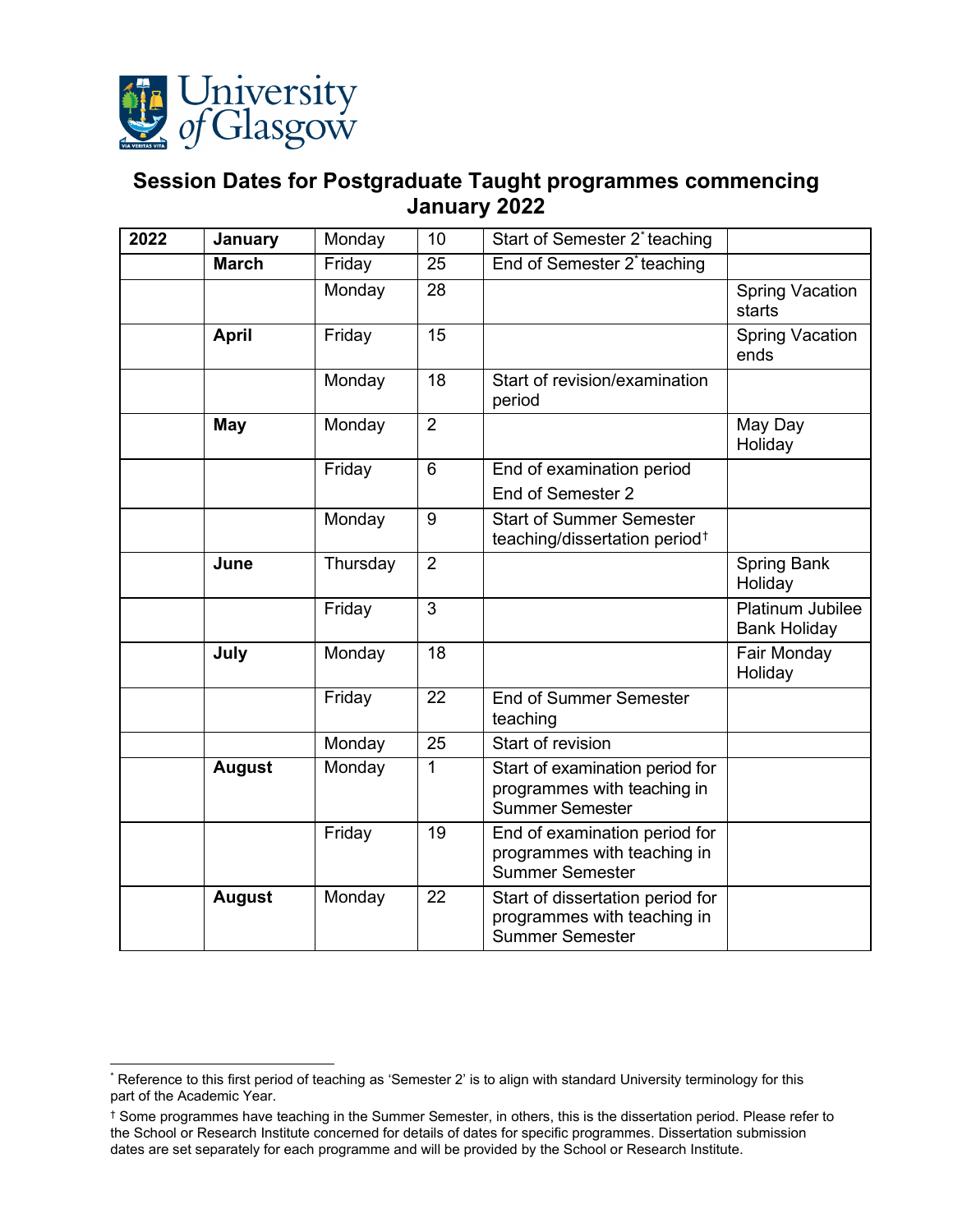

## <span id="page-0-0"></span>**Session Dates for Postgraduate Taught programmes commencing January 2022**

| 2022 | January       | Monday   | 10              | Start of Semester 2* teaching                                                             |                                         |
|------|---------------|----------|-----------------|-------------------------------------------------------------------------------------------|-----------------------------------------|
|      | <b>March</b>  | Friday   | $\overline{25}$ | End of Semester 2*teaching                                                                |                                         |
|      |               | Monday   | 28              |                                                                                           | <b>Spring Vacation</b><br>starts        |
|      | <b>April</b>  | Friday   | 15              |                                                                                           | <b>Spring Vacation</b><br>ends          |
|      |               | Monday   | 18              | Start of revision/examination<br>period                                                   |                                         |
|      | May           | Monday   | $\overline{2}$  |                                                                                           | May Day<br>Holiday                      |
|      |               | Friday   | $\overline{6}$  | End of examination period<br>End of Semester 2                                            |                                         |
|      |               | Monday   | 9               | <b>Start of Summer Semester</b><br>teaching/dissertation period <sup>†</sup>              |                                         |
|      | June          | Thursday | $\overline{2}$  |                                                                                           | <b>Spring Bank</b><br>Holiday           |
|      |               | Friday   | 3               |                                                                                           | Platinum Jubilee<br><b>Bank Holiday</b> |
|      | July          | Monday   | 18              |                                                                                           | Fair Monday<br>Holiday                  |
|      |               | Friday   | $\overline{22}$ | <b>End of Summer Semester</b><br>teaching                                                 |                                         |
|      |               | Monday   | 25              | Start of revision                                                                         |                                         |
|      | <b>August</b> | Monday   | $\mathbf{1}$    | Start of examination period for<br>programmes with teaching in<br><b>Summer Semester</b>  |                                         |
|      |               | Friday   | 19              | End of examination period for<br>programmes with teaching in<br><b>Summer Semester</b>    |                                         |
|      | <b>August</b> | Monday   | 22              | Start of dissertation period for<br>programmes with teaching in<br><b>Summer Semester</b> |                                         |

<span id="page-0-1"></span><sup>\*</sup> Reference to this first period of teaching as 'Semester 2' is to align with standard University terminology for this part of the Academic Year.

<span id="page-0-2"></span><sup>†</sup> Some programmes have teaching in the Summer Semester, in others, this is the dissertation period. Please refer to the School or Research Institute concerned for details of dates for specific programmes. Dissertation submission dates are set separately for each programme and will be provided by the School or Research Institute.